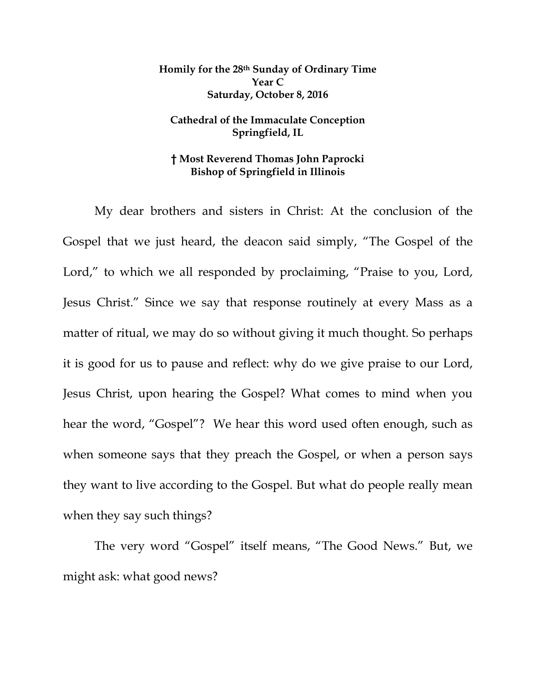## **Homily for the 28th Sunday of Ordinary Time Year C Saturday, October 8, 2016**

## **Cathedral of the Immaculate Conception Springfield, IL**

## **† Most Reverend Thomas John Paprocki Bishop of Springfield in Illinois**

My dear brothers and sisters in Christ: At the conclusion of the Gospel that we just heard, the deacon said simply, "The Gospel of the Lord," to which we all responded by proclaiming, "Praise to you, Lord, Jesus Christ." Since we say that response routinely at every Mass as a matter of ritual, we may do so without giving it much thought. So perhaps it is good for us to pause and reflect: why do we give praise to our Lord, Jesus Christ, upon hearing the Gospel? What comes to mind when you hear the word, "Gospel"? We hear this word used often enough, such as when someone says that they preach the Gospel, or when a person says they want to live according to the Gospel. But what do people really mean when they say such things?

The very word "Gospel" itself means, "The Good News." But, we might ask: what good news?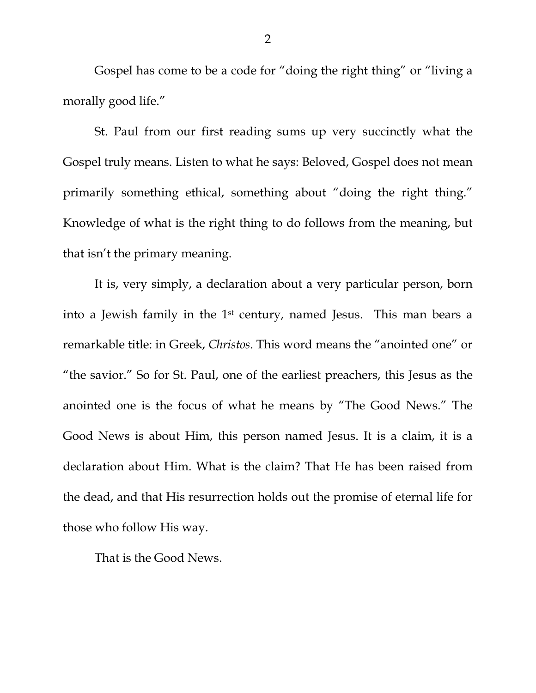Gospel has come to be a code for "doing the right thing" or "living a morally good life."

St. Paul from our first reading sums up very succinctly what the Gospel truly means. Listen to what he says: Beloved, Gospel does not mean primarily something ethical, something about "doing the right thing." Knowledge of what is the right thing to do follows from the meaning, but that isn't the primary meaning.

It is, very simply, a declaration about a very particular person, born into a Jewish family in the 1st century, named Jesus. This man bears a remarkable title: in Greek, *Christos*. This word means the "anointed one" or "the savior." So for St. Paul, one of the earliest preachers, this Jesus as the anointed one is the focus of what he means by "The Good News." The Good News is about Him, this person named Jesus. It is a claim, it is a declaration about Him. What is the claim? That He has been raised from the dead, and that His resurrection holds out the promise of eternal life for those who follow His way.

That is the Good News.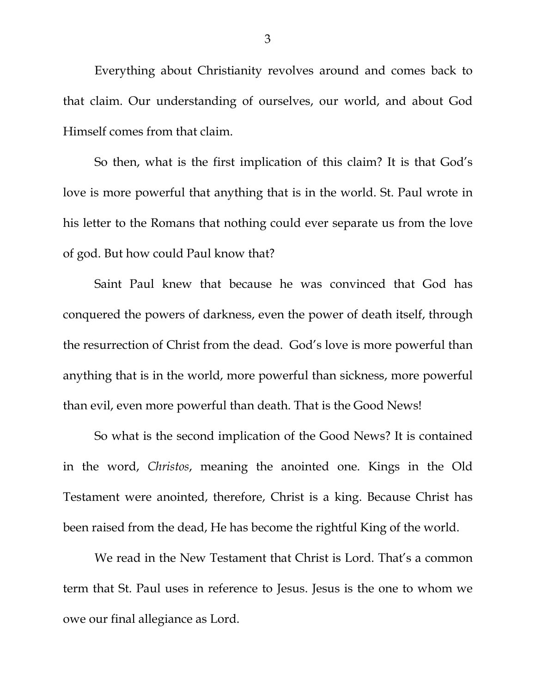Everything about Christianity revolves around and comes back to that claim. Our understanding of ourselves, our world, and about God Himself comes from that claim.

So then, what is the first implication of this claim? It is that God's love is more powerful that anything that is in the world. St. Paul wrote in his letter to the Romans that nothing could ever separate us from the love of god. But how could Paul know that?

Saint Paul knew that because he was convinced that God has conquered the powers of darkness, even the power of death itself, through the resurrection of Christ from the dead. God's love is more powerful than anything that is in the world, more powerful than sickness, more powerful than evil, even more powerful than death. That is the Good News!

So what is the second implication of the Good News? It is contained in the word, *Christos*, meaning the anointed one. Kings in the Old Testament were anointed, therefore, Christ is a king. Because Christ has been raised from the dead, He has become the rightful King of the world.

We read in the New Testament that Christ is Lord. That's a common term that St. Paul uses in reference to Jesus. Jesus is the one to whom we owe our final allegiance as Lord.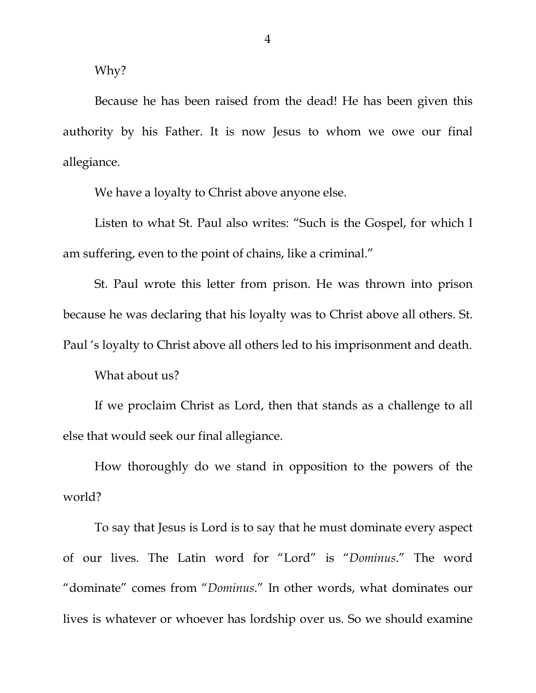Why?

Because he has been raised from the dead! He has been given this authority by his Father. It is now Jesus to whom we owe our final allegiance.

We have a loyalty to Christ above anyone else.

Listen to what St. Paul also writes: "Such is the Gospel, for which I am suffering, even to the point of chains, like a criminal."

St. Paul wrote this letter from prison. He was thrown into prison because he was declaring that his loyalty was to Christ above all others. St. Paul 's loyalty to Christ above all others led to his imprisonment and death.

What about us?

If we proclaim Christ as Lord, then that stands as a challenge to all else that would seek our final allegiance.

How thoroughly do we stand in opposition to the powers of the world?

To say that Jesus is Lord is to say that he must dominate every aspect of our lives. The Latin word for "Lord" is "*Dominus*." The word "dominate" comes from "*Dominus*." In other words, what dominates our lives is whatever or whoever has lordship over us. So we should examine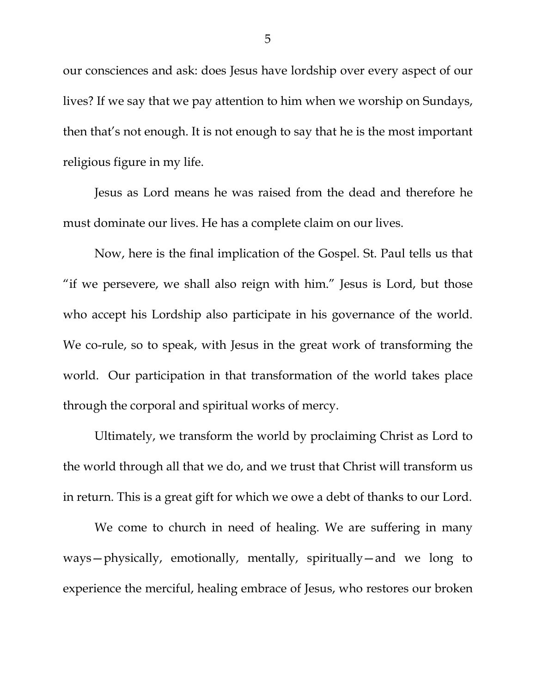our consciences and ask: does Jesus have lordship over every aspect of our lives? If we say that we pay attention to him when we worship on Sundays, then that's not enough. It is not enough to say that he is the most important religious figure in my life.

Jesus as Lord means he was raised from the dead and therefore he must dominate our lives. He has a complete claim on our lives.

Now, here is the final implication of the Gospel. St. Paul tells us that "if we persevere, we shall also reign with him." Jesus is Lord, but those who accept his Lordship also participate in his governance of the world. We co-rule, so to speak, with Jesus in the great work of transforming the world. Our participation in that transformation of the world takes place through the corporal and spiritual works of mercy.

Ultimately, we transform the world by proclaiming Christ as Lord to the world through all that we do, and we trust that Christ will transform us in return. This is a great gift for which we owe a debt of thanks to our Lord.

We come to church in need of healing. We are suffering in many ways—physically, emotionally, mentally, spiritually—and we long to experience the merciful, healing embrace of Jesus, who restores our broken